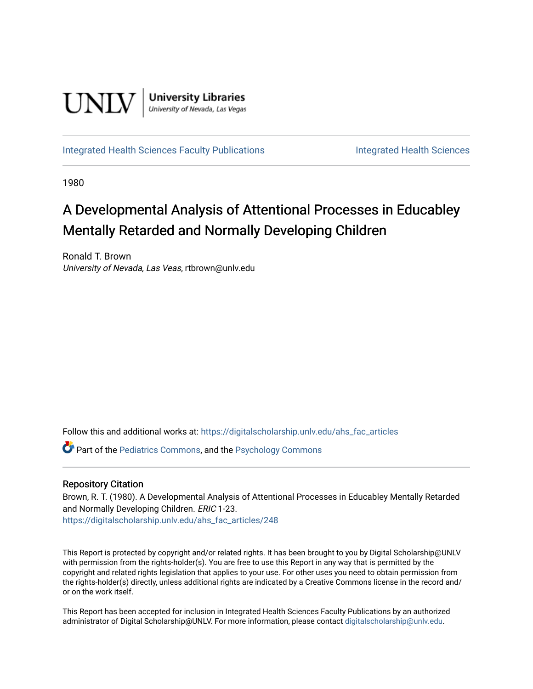

[Integrated Health Sciences Faculty Publications](https://digitalscholarship.unlv.edu/ahs_fac_articles) **Integrated Health Sciences** 

1980

# A Developmental Analysis of Attentional Processes in Educabley Mentally Retarded and Normally Developing Children

Ronald T. Brown University of Nevada, Las Veas, rtbrown@unlv.edu

Follow this and additional works at: [https://digitalscholarship.unlv.edu/ahs\\_fac\\_articles](https://digitalscholarship.unlv.edu/ahs_fac_articles?utm_source=digitalscholarship.unlv.edu%2Fahs_fac_articles%2F248&utm_medium=PDF&utm_campaign=PDFCoverPages) 

Part of the [Pediatrics Commons](http://network.bepress.com/hgg/discipline/700?utm_source=digitalscholarship.unlv.edu%2Fahs_fac_articles%2F248&utm_medium=PDF&utm_campaign=PDFCoverPages), and the [Psychology Commons](http://network.bepress.com/hgg/discipline/404?utm_source=digitalscholarship.unlv.edu%2Fahs_fac_articles%2F248&utm_medium=PDF&utm_campaign=PDFCoverPages) 

## Repository Citation

Brown, R. T. (1980). A Developmental Analysis of Attentional Processes in Educabley Mentally Retarded and Normally Developing Children. ERIC 1-23. [https://digitalscholarship.unlv.edu/ahs\\_fac\\_articles/248](https://digitalscholarship.unlv.edu/ahs_fac_articles/248) 

This Report is protected by copyright and/or related rights. It has been brought to you by Digital Scholarship@UNLV with permission from the rights-holder(s). You are free to use this Report in any way that is permitted by the copyright and related rights legislation that applies to your use. For other uses you need to obtain permission from the rights-holder(s) directly, unless additional rights are indicated by a Creative Commons license in the record and/ or on the work itself.

This Report has been accepted for inclusion in Integrated Health Sciences Faculty Publications by an authorized administrator of Digital Scholarship@UNLV. For more information, please contact [digitalscholarship@unlv.edu.](mailto:digitalscholarship@unlv.edu)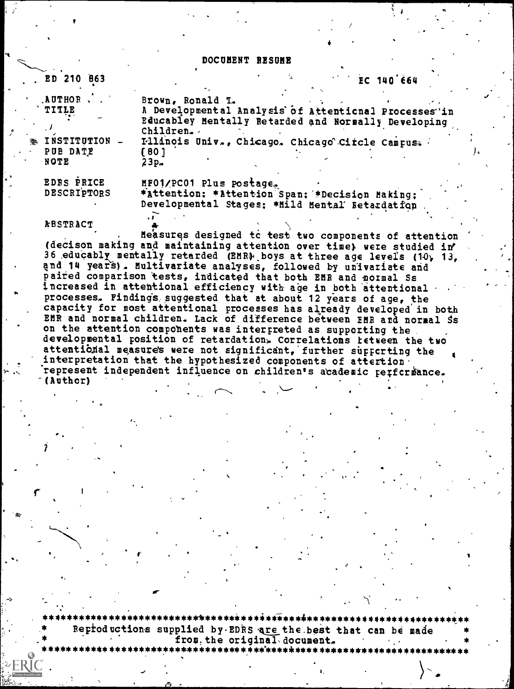#### DOCUMENT RESUME

| , ED 210 863                                                          | EC 140664                                                                                                                                                                                                                  |
|-----------------------------------------------------------------------|----------------------------------------------------------------------------------------------------------------------------------------------------------------------------------------------------------------------------|
| <b>AUTHOR</b><br>TITLE<br>INSTITUTION<br>鞑<br>PUB DATE<br><b>NOTE</b> | Brown, Ronald T.<br>A Developmental Analysis of Attentional Processes in<br>Educabley Mentally Retarded and Normally Developing<br>Children.<br>Illinois Univ., Chicago. Chicago Citcle Campus.<br>[80]<br>$23p_{\bullet}$ |
| <b>EDRS PRICE</b><br>DESCRIPTORS                                      | MF01/PC01 Plus postage.<br>*Attention: *Attention Span: *Decision Making;<br>Developmental Stages: *Mild Mental Betardatfon                                                                                                |
| <b>ABSTRACT</b>                                                       |                                                                                                                                                                                                                            |

Measures designed to test two components of attention (decison making and maintaining attention over time) were studied in 36 educably mentally retarded (EMR) boys at three age levels (10, 13, and 14 years). Multivariate analyses, followed by univariate and paired comparison tests, indicated that both EMR and normal Ss increased in attentional efficiency with age in both attentional processes. Findings suggested that at about 12 years of age, the capacity for most attentional processes has already developed in both EMR and normal children. Lack of difference between EMR and normal Ss on the attention compohents was interpreted as supporting the developmental position of retardation. Correlations retueen the two attentional measures were not significant, further supporting the interpretation that the hypothesized components of attertion. represent independent influence on children's academic rerfcrmance. (Author)

Reproductions supplied by EDRS are the best that can be made from the original document.

\*\*\*\*\*\*\*\*\*\*\*\*\*\*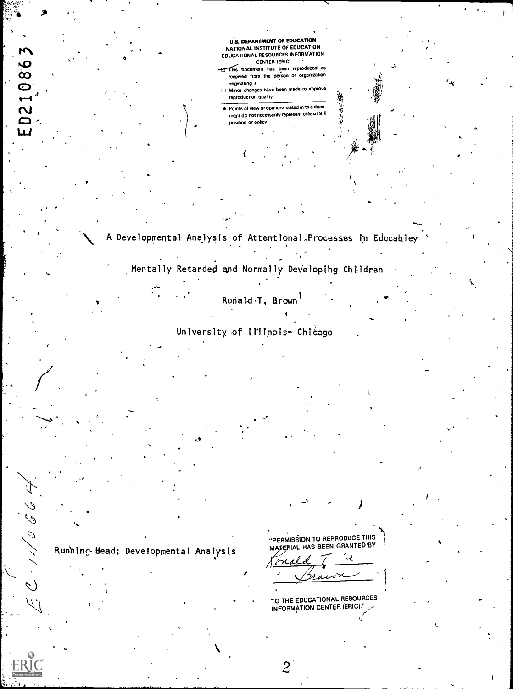

 $\overline{2}$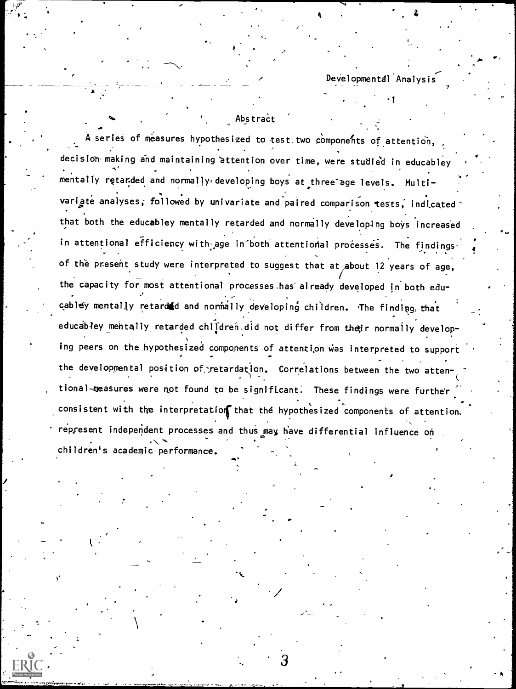$\sim$ Developmental Analysi

1

Abstract

 $\tilde{\texttt{A}}$  series of measures hypothesized to test two components of attention, decision making and maintaining attention over time, were studied in educabley mentally retarded and normally developing boys at three age levels. Multi-  $\qquad \qquad \qquad$ variate analyses, followed by univariate and paired comparison tests, indicated  $\gamma$ that both the educabley mentally retarded and normally developing boys increased In attentional efficiency with age in both attentional processes. The findings  $\cdot$  , of the present study were interpreted to suggest that at about 12 years of age, the capacity for most attentional processes has already developed in both edu-., cabley mentally retarded and normally developing children. The finding that educabley mehtally retarded children did not differ from their normally developing peers on the hypothesized components of attention was interpreted to support the developmental position of retardation. Correlations between the two atten- $\mathbf{V}$  and  $\mathbf{V}$ ,, , tional-measures were not found to be significant: These findings were further consistent with the interpretation that the hypothesized components of attention. represent independent processes and thus may have differential influence on children's academic performance.

4.1

3

e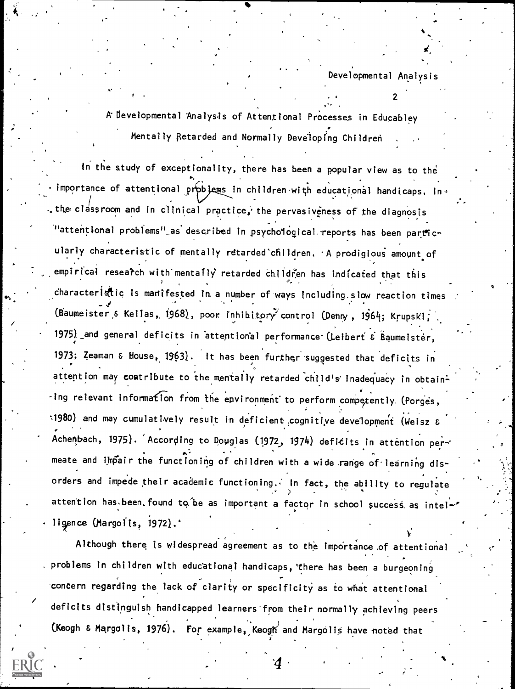A bevelopmental 'Analysts of Attentional Processes in Educabley Mentally Retarded and Normally Developing Children

In the study of exceptionality, there has been a popular view as to the importance of attentional prpblems in children with educational handicaps, in . the classroom and in clinical practice, the pervasiveness of the diagnosis "attentional problems" as described in psychological reports has been particularly characteristic of mentally retarded children, A prodigious amount of empirical research with mentally retarded children has indicated that this  $characteri$   $\ddot{a}$  is manifested in a number of ways including slow reaction times . -44 (Baumeister & Kellas, 1968), poor inhibitory control (Denny, 1964; Krupski; Kontrol (Dewy), American Control ( 1975) and general deficits in attentional performance (Leibert 6 Baumeister, 1973; Zeman & Nouse,1963). It has been further 'suggested that deficits in attention may contribute to the mentally retarded child's inadequacy in obtain- $-i$ ng relevant information from the environment to perform competently. (Porges, :1980) and may cumulatively result in deficient (cognitive development (Weisz & Achenbach, 1975). According to Douglas (1972, 1974) deficits in attention permeate and impair the functioning of children with a wide range of learning disorders and impede their academic functioning. In fact, the ability to regulate attention has been found to be as important a factor in school success as intel-. lirce (Margolis, 1972).8

Although there is widespread agreement as to the importance of attentional problems in children with educational handicaps, there has been a burgeoning concern regarding the lack of clarity or specificity as to what attentional deficits distinguish handicapped learners'from their normally achieving peers (Keogh & Margolis, 1976). For example, , Keogh)and MargOliS have oted that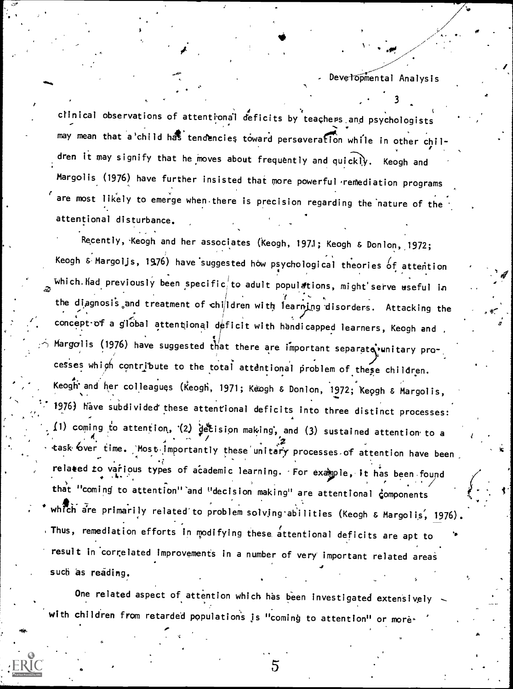$1 \cdot \cdot \cdot$ 

 $\sim$   $\sim$ 

 $\ddotsc$ 

, , 't clinical observations of attentional deficits by teachers and psychologists  $\cdot$ may mean that a'child has tendencies toward perseveration while in other children it may signify that he moves about frequently and quickly. Keogh and Margolis (1976) have further insisted that more powerful remediation programs are most likely to emerge when there is precision regarding the nature of the attentional disturbance.

Recently, Keogh and her associates (Keogh, 1971; Keogh & Donlon, 1972; Keogh & Margoljs, 1976) have suggested how psychological theories  $\rm 6f$  attention  $\,$  ,  $\,$ which. Kad previously been specific, to adult populations, might serve useful in ž. the diagnosis and treatment of children with learning disorders. Attacking the  $\mathcal{L}_{\mathcal{L}}$  ,  $\mathcal{L}_{\mathcal{L}}$  ,  $\mathcal{L}_{\mathcal{L}}$  ,  $\mathcal{L}_{\mathcal{L}}$  ,  $\mathcal{L}_{\mathcal{L}}$  ,  $\mathcal{L}_{\mathcal{L}}$ concept-of a global attentional deficit with handicapped learners, Keogh and ,  $\qquad$  .  $\sim$  Margolis (1976) have suggested that there are important separate vunitary pro-  $\sim$ cesses which contribute to the total attentional problem of these children. , keogh and her colleagues (Keogh, 1971; Keogh & Donlon, 1972; Keogh & Margolis, Santan Margolis, Santan Margolis, S ...,  $\cdot$  1976) have subdivided these attentional deficits into three distinct processes:  $\frac{1}{4}$ . 11) coming to attention, (2) decision making, and (3) sustained attention to a  $\frac{1}{4}$ task bver time. Most importantly these unitary processes of attention have been related to various types of academic learning. For example, it has been found  $\diagup$ that "coming to attention" and "decision making" are attentional components  $\leftarrow$ which are primarily related to problem solving abilities (Keogh & Margolis, 1976). Thus, remediation efforts in modifying these, attentional deficits are apt to result in correlated improvements in a number of very important related areas such as reading.

One related aspect of attention which has been investigated extensively with children from retarded populations is "coming to attention" or more.

5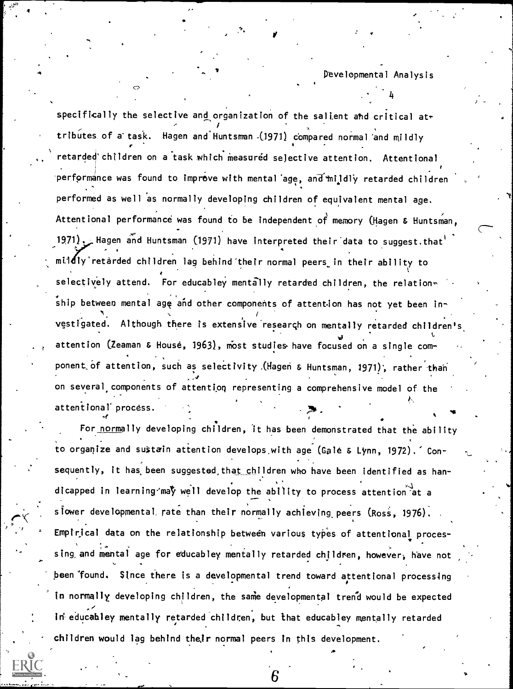4

specifically the selective and organization of the salient and critical attributes of a' task. Hagen and\*Huntsmen-(1971) compared normal 'and mildly etarded children on a task which measured selective attention. Attentional performance was found to improve with mental age, and mildly retarded children performed as well as normally developing children of equivalent mental age. Attentional performance was found to be independent of memory (Hagen & Huntsman, 1971). Hagen and Huntsman (1971) have interpreted their data to suggest, that mildly'retarded children lag behind their normal peers in their ability to selectively attend. For educabley mentally retarded children, the relation $\sim$  $\mathop{\mathsf{ship}}$  between mental ag $\mathop{\mathsf{e}}$  and other components of attention has not yet been in- $\mathbf{v}$ vestigated. Although there is extensive research on mentally retarded children's  $\hfill\blacksquare$ attention (Zeaman & House, 1963), most studies have focused on a single component of attention, such as selectivity .(Hagen & Huntsman, 1971), rather than on several, components of attention representing a comprehensive model of the attentional' process.

4

For normally developing children, it has been demonstrated that the ability to organize and sustain attention develops.with age (Gale & Lynn, 1972)." Consequently, it has, been suggested,that children who have been identified as handicapped in learning-may well develop the ability to process attention at a slower developmental rate than their normally achieving peers (Ross, 1976). Empirical data on the relationship between various types of attentional processing, and mental age for educabley mentally retarded children, however; have not been found. Since there is a developmental trend toward attentional processing in normally developing children, the same developmental trend would be expected in educabley mentally retarded children, but that educabley mentally retarded children would lag behind their normal peers in this development.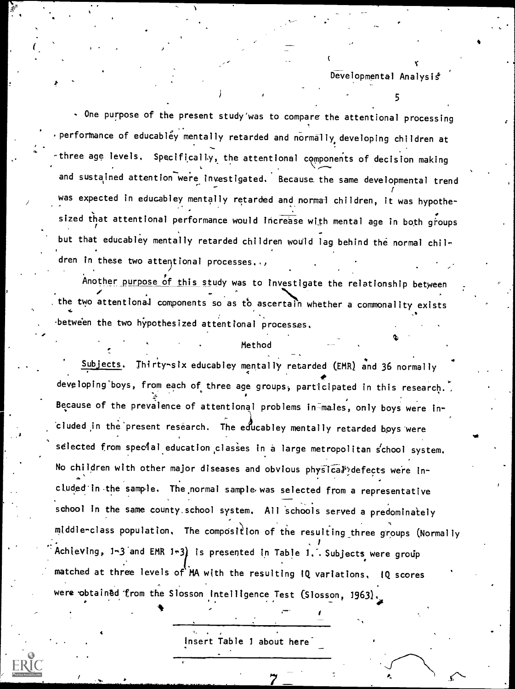Developmental Analysis<sup>\*</sup>

5

One purpose of the present study'was to compare the attentional processing  $\cdot$  performance of educabley mentally retarded and normally developing children at three age levels. Specifically, the attentional components of decision making and sustained attention were investigated. Because the same developmental trend  $\mathbf{t}$ was expected in educabley mentally retarded and normal children, it was hypothe-  $\overline{\phantom{a}}$ sized that attentional performance would increase with mental age in both groups but that educabley mentally retarded children would lag behind the normal children in these two attentional processes..,

Another purpose of this study was to investigate the relationship between the two attentional components so as to ascertain whether a commonality exists between the two hypothesized attentional processes.

#### Method

Subjects. Thirty-six educabley mentally retarded (EMR) and 36 normally developing boys, from each of three age groups, participated in this research. Because of the prevalence of attentional problems in-males, only boys were included in the present research. The educabley mentally retarded boys were selected from special education classes in a large metropolitan school system. No children with other major diseases and obvious physical defects were included'in-the sample. The,normal sample. was selected from a representative school in the same county school system. All schools served a predominately  $m$ iddle-class population. The composition of the resulting three groups (Normally i i s Achieving, 1-3 and EMR 1-3) is presented in Table 1. Subjects were group matched at three levels of MA with the resulting IQ variations. IQ scores were obtained from the Slosson Intelligence Test (Slosson, 1963)

Insert Table 1 about here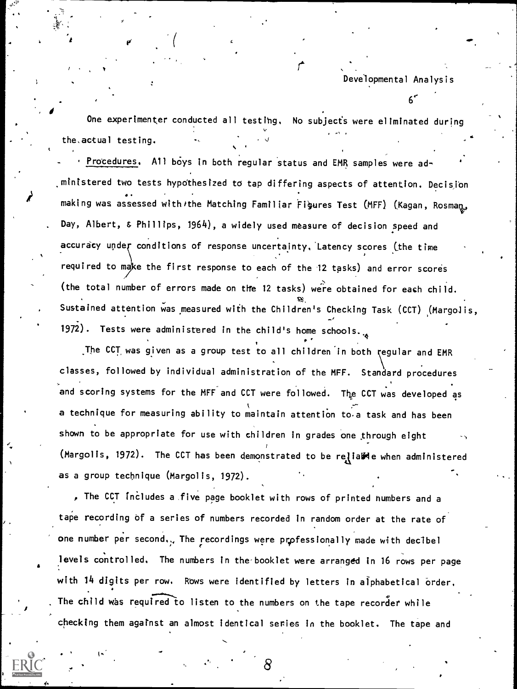6'

 $\mathbf{I}$ One experimenter conducted all testing. No subjects were eliminated during the.actual testing.

4.

 $\blacksquare$  making was assessed with/the Matching Familiar Figures Test (MFF) (Kagan, Rosman, Soman,  $\blacksquare$ Procedures. All boys in both regular status and EMR samples were ad-.ministered two tests hypothesized to tap differing aspects of attention. Decision Day, Albert, & Phillips, 1964), a widely used measure of decision speed and accuracy under conditions of response uncertainty. Latency scores (the time required to make the first response to each of the 12 tasks) and error scores (the total number of errors made on tife 12 tasks) were obtained for each child. Sustained attention was measured with the Children's Checking Task (CCT) (Margolis, 1972). Tests were administered in the child's home schools.

The CCT was given as a group test to all children in both regular and EMR classes, followed by individual administration of the MFF. Standard procedures and scoring systems for the MFF and CCT were followed. The CCT was developed as a technique for measuring ability to maintain attention to a task and has been shown to be appropriate for use with children in grades one through eight (Margolis, 1972). The CCT has been demonstrated to be relialde when administered as a group technique (Margolis, 1972).

The CCT includes a five page booklet with rows of printed numbers and a tape recording of a series of numbers recorded in random order at the rate of one number per second... The recordings were professionally made with decibel levels controlled. The numbers in the booklet were arranged in 16 rows per page with 14 digits per row. Rows were identified by letters in alphabetical order. The child was required to listen to the numbers on the tape recorder while checking them against an almost identical series in the booklet. The tape and

 $\tilde{\phantom{a}}$ 

4.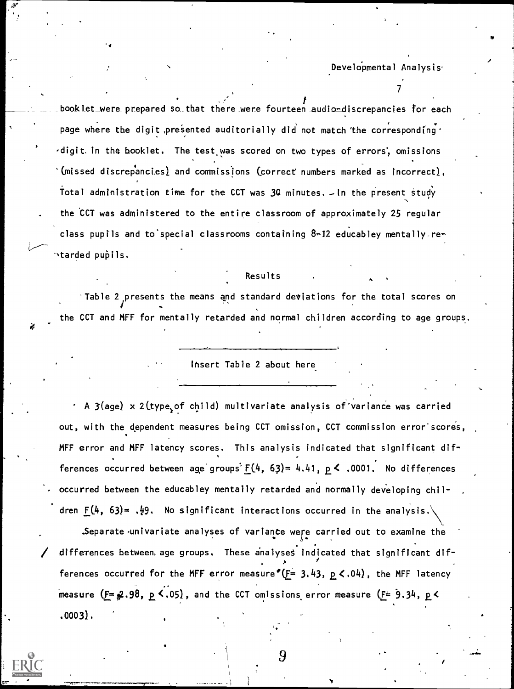$\mathcal{T}$  and  $\mathcal{T}$ 

booklet\_were prepared so that there were fourteen audio-discrepancies for each page where the digit presented auditorially did not match the corresponding  $\cdot$ ,digit. in the booklet. The test was scored on two types of errors', omissions '(missed discrepancies) and commissions (correct numbers marked as incorrect). Total administration time for the CCT was 3Q minutes. - In the present study the CCT was administered to the entire classroom of approximately 25 regular class pupils and to'special classrooms containing 8-12 educabley mentally re-  $\nu$ tarded pu $\mathfrak{p}$ ils.

Results

Table 2 presents the means and standard deviations for the total scores on the CCT and MFF for mentally retarded and normal children according to age groups.

ihsert Table 2 about here

 $\cdot$  A 3(age) x 2(type of child) multivariate analysis of variance was carried out, with the dependent measures being CCT omission, CCT commission error scores, MFF error and MFF latency scores. This analysis indicated that significant dif-  $\bullet$  , and the set of  $\bullet$ ferences occurred between age groups  $F(4, 63) = 4.41$ ,  $p \le .0001$ . No differences occurred between the educabley mentally retarded and normally developing children  $\underline{F}(4, 63) = .49$ . No significant interactions occurred in the analysis.

Separate univariate analyses of variance were carried out to examine the differences between, age groups. These analyses indicated that significant dif- $\lambda$  and  $\lambda$ ferences occurred for the MFF error measure  $E = 3.43$ ,  $p \le 0.04$ , the MFF latency measure  $($ F  $\neq$  .98,  $p \le 0.05$ , and the CCT omissions error measure  $($ F  $= 9.34, p \le$ .00031.

9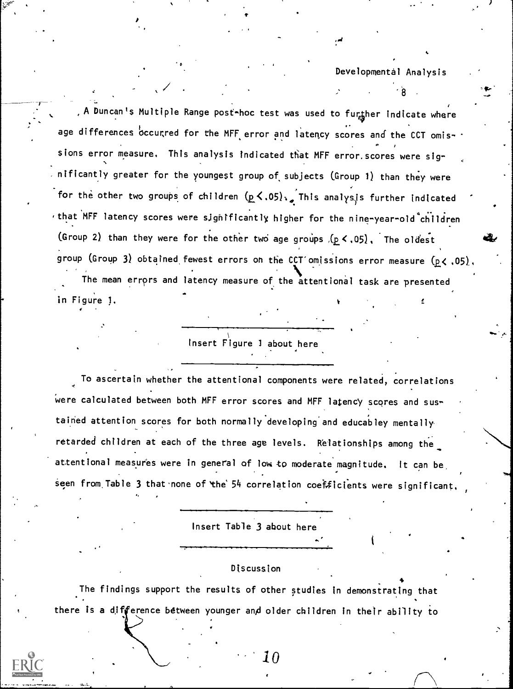$\sigma$   $\sim$   $\sigma$ 

A Duncan's Multiple Range post~hoc test was used to further indicate where age differences occurred for the MFF error and latency scores and the CCT omissions error measure. This analysis indicated that MFF error.scores were significantly greater for the youngest group of, subjects (Group 1) than they were for the other two groups of children  $(p \lt 0.05)$ .. This analysis further indicated  $t$  that MFF latency scores were significantly higher for the nine-year-old children (Group 2) than they were for the other two age groups  $(p < .05)$ , The oldest group (Group 3) obtained fewest errors on the CCT omissions error measure (p< .05). The mean errors and latency measure of the attentional task are presented in Figure 1.

insert Figure 1 about here

To ascertain whether the attentional components were related, correlations Were calculated between both MFF error scores and MFF latency scores and sustained attention scores for both normally developing and educabley mentally retarded children at each of the three age levels. Relationships among the attentional measures were in general of low to moderate magnitude. It can be seen from Table 3 that none of the  $54$  correlation coefficients were significant

Insert Table 3 about here

### Discussion

The findings support the results of other studies in demonstrating that there is a difference between younger and older children in their ability to

 $\bf{10}$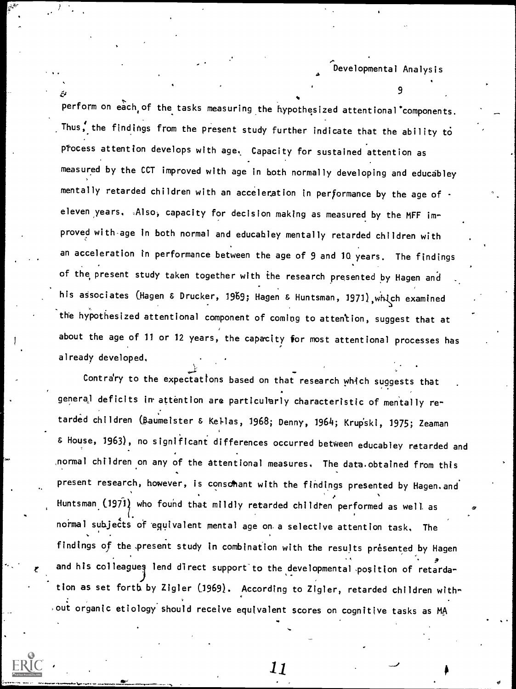9

perform on each of the tasks measuring the hypothesized attentional components. Thus; the findings from the present study further indicate that the ability to process attention develops with age. Capacity for sustained attention as measured by the CCT improved with age in both normally developing and educabley mentally retarded children with an acceleration in performance by the age of eleven years. Also, capacity for decision making as measured by the MFF improved with-age in both normal and educabley mentally retarded children with an acceleration in performance between the age of 9 and 10 years. The findings of the present study taken together with the research presented by Hagen and his associates (Hagen & Drucker, 1969; Hagen & Huntsman, 1971), which examined the hypothesized attentional component of coming to attention, suggest that at about the age of 11 or 12 years, the capacity for most attentional processes has already developed.

 $\overline{\mathcal{V} \cdot \mathcal{V}}$ 

Contrary to the expectations based on that research which suggests that generaj deficits in attention are particularly characteristic of mentally retarded children (Baumeister & Kellas, 1968; Denny, 1964; Krup'ski, 1975; Zeaman & House, 1963), no significant differences occurred between educabley retarded and ,normal children on any of the attentional measures. The data.obtained from this present research, however, is consolant with the findings presented by Hagen. and Huntsman (1971) who found that mildly retarded children performed as well as  $\qquad \qquad \qquad \qquad \qquad$ normal subjects of equivalent mental age on a selective attention task. The findings of the present study in combination with the results presented by Hagen and his colleagues lend direct support to the developmental position of retardation as set forth by Zigler (1969). According to Zigler, retarded children with- . , out organic etiology should receive equivalent scores on cognitive tasks as  $\texttt{M}\texttt{A}$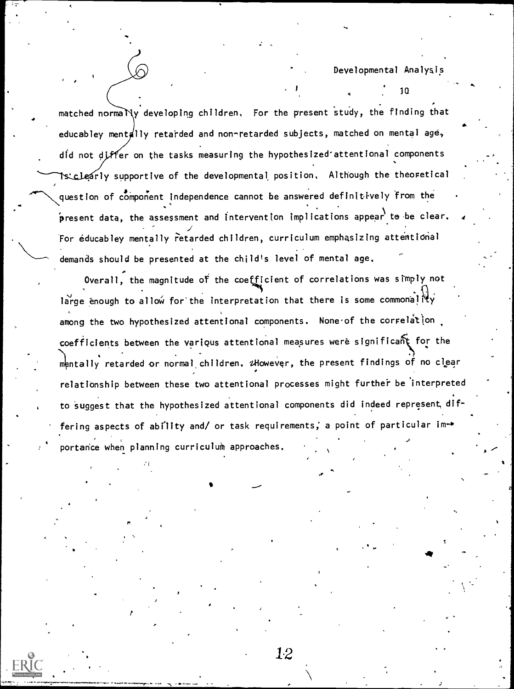10

 $4.44<sub>1</sub>$ 

 $\blacksquare$ 

.4

a matched norma $\sum\limits_{i=1}^N\sum\limits_{i=1}^N\sum\limits_{j=1}^{N}\sum\limits_{j=1}^{N}\sum\limits_{i=1}^{N}\sum\limits_{i=1}^{N}\sum\limits_{j=1}^{N}\sum\limits_{j=1}^{N}\sum\limits_{j=1}^{N}\sum\limits_{j=1}^{N}\sum\limits_{j=1}^{N}\sum\limits_{j=1}^{N}\sum\limits_{j=1}^{N}\sum\limits_{j=1}^{N}$ educabley mentally retarded and non-retarded subjects, matched on mental age, did not differ on the tasks measuring the hypothesized attentional components is clearly supportive of the developmental position, Although the theoretical question of component independence cannot be answered definitively from the  $\rho$ resent data, the assessment and intervention implications appear to be clear.  $\qquad$ For educabley mentally retarded children, curriculum emphasizing attentional demands should be presented at the child's level of mental age,

Overall, the magnitude of the coefficient of correlations was simply not large enough to allow for the interpretation that there is some commonally among the two hypothesized attentional components. None of the correlation coefficients between the various attentional measures were significant for the  $\qquad$ mentally retarded or normal children,  $u$ However, the present findings of no clear relationship between these two attentional processes might further be interpreted to suggest that the hypothesized attentional components did indeed represent, differing aspects of ability and/ or task requirements; a point of particular importance when planning curriculum approaches.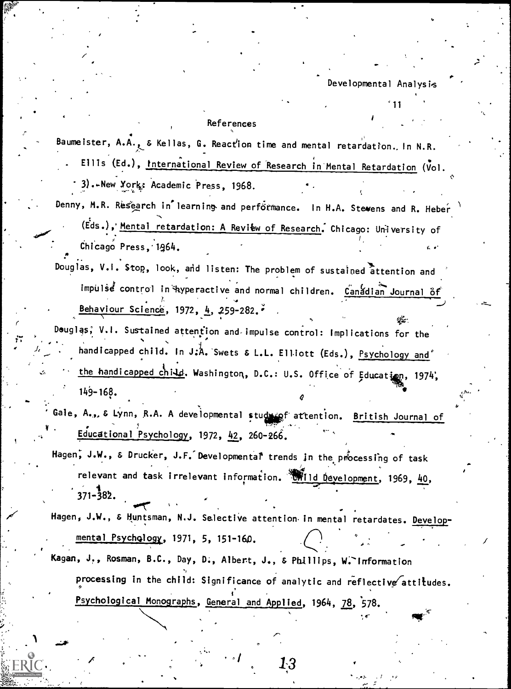#### References

Baumeister, A.A., & Kellas, G. Reaction time and mental retardation. In N.R. Ellis (Ed.), International Review of Research in Mental Retardation (Vol.

3).-New York: Academic Press, 1968.

Denny, M.R. Research in learning and performance. In H.A. Stewens and R. Heber

(Eds.), Mental retardation: A Review of Research. Chicago: University of Chicago Press, 1964.

Douglas, V.I. Stop, look, and listen: The problem of sustained attention and Impulse control in Ayperactive and normal children. Canadian Journal of Behaviour Science, 1972, 4, 259-282.

Deuglas, V.I. Sustained attention and impulse control: Implications for the handicapped child. In J.A. Swets & L.L. Elliott (Eds.), Psychology and the handicapped child. Washington, D.C.: U.S. Office of Education, 1974,  $149 - 168.$ 

Gale, A., & Lynn, R.A. A developmental studyingf attention. British Journal of Educational Psychology, 1972, 42, 260-266.

Hagen, J.W., & Drucker, J.F. Developmental trends in the processing of task relevant and task irrelevant information. Wild Development, 1969, 40,  $371 - 382.$ 

Hagen, J.W., & Huntsman, N.J. Selective attention in mental retardates. Developmental Psychology, 1971, 5, 151-160.

Kagan, J., Rosman, B.C., Day, D., Albert, J., & Phillips, W. Information processing in the child: Significance of analytic and reflective attitudes. Psychological Monographs, General and Applied, 1964, 78, 578.

Ŀ3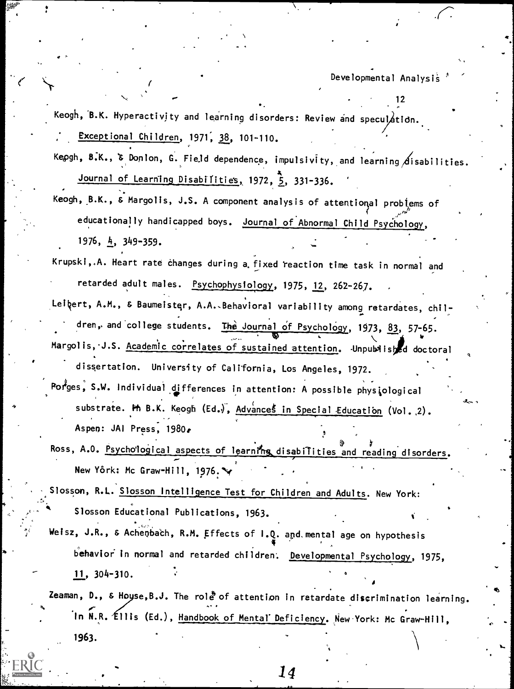12

Keogh, B.K. Hyperactivity and learning disorders: Review and speculation. Exceptional Children, 1971, 38, 101-110.

Kepgh,  $8.K.$ ,  $\delta$  Donlon, G. Field dependence, impulsivity, and learning disabilities. Journal of Learning Disabilities, 1972, 5, 331-336.

- Keogh, B.K., & Margolis, J.S. A component analysis of attentional problems of educationally handicapped boys. Journal of Abnormal Child Psychology, 1976, 4, 349-359.
- Krupski,.A. Heart rate changes during a fixed reaction time task in normal and retarded adult males. Psychophysiology, 1975, 12, 262-267.
- Leibert, A.M., & Baumeister, A.A., Behavioral variability among retardates, children, and college students. The Journal of Psychology, 1973, 83, 57-65. Margolis, J.S. Academic correlates of sustained attention. Junpublished doctoral
- dissertation. University of California, Los Angeles, 1972.  ${\sf Por}^\sharp$ ges, S.W. Individual differences in attention: A possible physiological substrate. Hh B.K. Keogh (Ed.), Advances in Special Education (Vol. 2). Aspen: JAI Press, 1980e
- Ross, A.O. Psychological aspects of learning disabilities and reading disorders. New York: Mc Graw-Hill, 1976. $\rightarrow$
- Slosson, R.L. <u>Slosson Intelligence Test for Children and Adults</u>. New York: Slosson Educational Publications, 1963.
- Weisz, J.R., & Achenbach, R.M. Effects of I.Q. and mental age on hypothesis  $\bullet$   $\bullet$   $\bullet$   $\bullet$   $\bullet$ behavior in normal and retarded children'. Developmental Psychology, 1975, 11 304-310.

Zeaman, D., & Hoyse, B.J. The role of attention in retardate discrimination learning. In N.R. Ellis (Ed.), <u>Handbook of Mental' Deficiency</u>. New York: Mc Graw-Hill,

14

1963.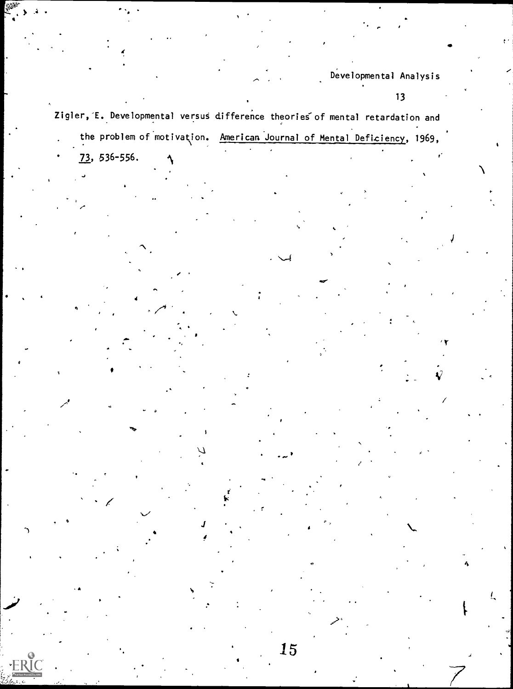## $13$

Zigler, E. Developmental versus difference theories of mental retardation and the problem of motivation. American Journal of Mental Deficiency, 1969,

 $\overline{73}$ , 536-556.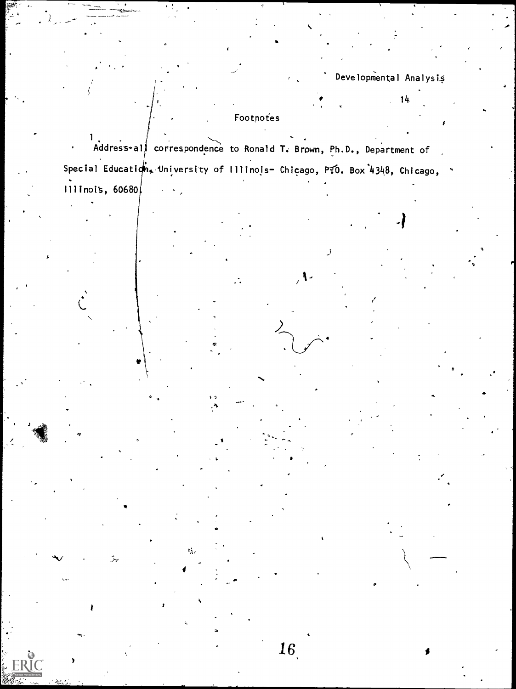$-14$ 

# Footnotes

Address-all correspondence to Ronald T. Brown, Ph.D., Department of Special Education, University of Illinois- Chicago, P.0. Box 4348, Chicago, 1111 nois, 60680

 $\mathbf{1}$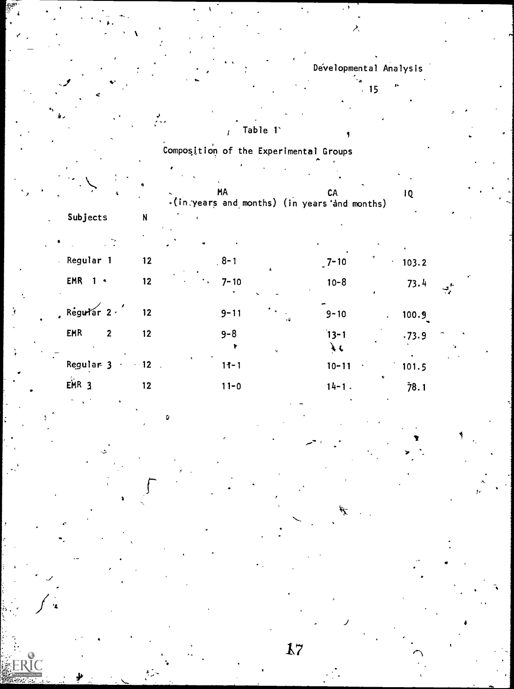|                            |                               | Composition of the Experimental Groups       |                 |       |
|----------------------------|-------------------------------|----------------------------------------------|-----------------|-------|
|                            |                               |                                              |                 |       |
|                            |                               | <b>MA</b>                                    | CA              | 1Q    |
| Subjects                   | N                             | .(in years and months) (in years and months) |                 |       |
|                            |                               |                                              |                 |       |
| Regular 1                  | 12                            | $8 - 1$                                      | $7 - 10$        | 103.2 |
| EMR<br>$1 -$               | 12                            | $7 - 10$                                     | $10 - 8$        | 73.4  |
| Regular $2 \cdot$          | 12 <sub>2</sub>               | $9 - 11$                                     | $9 - 10$        | 100.9 |
| <b>EMR</b><br>$\mathbf{2}$ | 12 <sub>2</sub>               | $9 - 8$<br>ų,                                | $13 - 1$<br>f c | .73.9 |
| Regular 3                  | 12 <sub>2</sub><br>$\epsilon$ | $11 - 1$                                     | $10 - 11$       | 101.5 |
| EMR <sub>3</sub>           | $12 \overline{ }$             | $11 - 0$                                     | $14 - 1$ .      | 78.1  |
|                            |                               |                                              |                 |       |

λ

 $15 - \frac{16}{15}$ 

17

IC

.1

 $\overline{\phantom{0}}$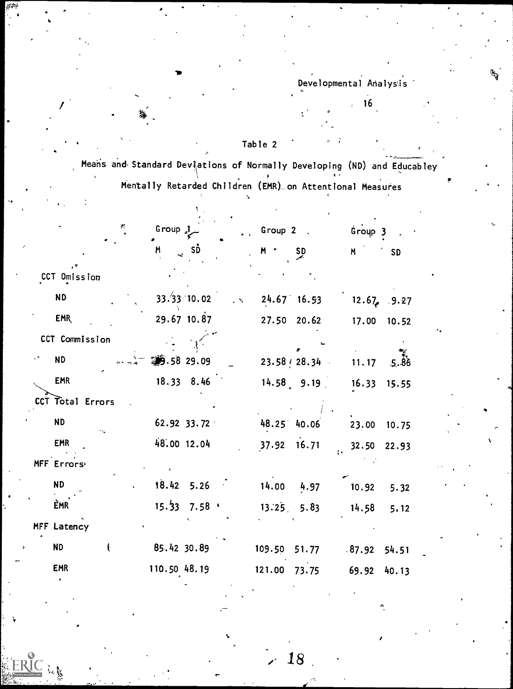$16$ 

Table 2

Means and Standard Deviations of Normally Developing (ND) and Educabley Mentally Retarded Children (EMR) on Attentional Measures

|                  | Group <sub>s</sub> $\frac{1}{2}$ |                                       |                            | $\sim$ Group 2, |                               |       | Group 3 |               |
|------------------|----------------------------------|---------------------------------------|----------------------------|-----------------|-------------------------------|-------|---------|---------------|
|                  | M                                | $\sim$ SD                             |                            | $M$ $\cdot$     | $S_{p}$                       | M     |         | <b>SD</b>     |
| CCT Omission     |                                  |                                       |                            |                 |                               |       |         |               |
| <b>ND</b>        |                                  | 33.33 10.02                           | $\mathcal{L}(\mathcal{H})$ |                 | $24.67$ 16.53 12.67, 9.27     |       |         |               |
| EMR              |                                  | 29.67 10.87                           |                            |                 | 27.50 20.62                   |       | 17.00   | 10.52         |
| CCT Commission   |                                  |                                       |                            |                 |                               |       |         |               |
| <b>ND</b>        |                                  | 39.58 29.09                           |                            |                 | $23.58 \div 28.34$ 11.17 5.88 |       |         |               |
| <b>EMR</b>       |                                  | $18.33 \t 8.46$                       |                            |                 | $14.58$ 9.19                  |       |         | 16.33 15.55   |
| CCT Total Errors |                                  |                                       |                            |                 |                               |       |         |               |
| <b>ND</b>        |                                  | 62.92 33.72                           |                            | 48.25 40.06     |                               |       |         | 23.00 10.75   |
| <b>EMR</b>       |                                  | 48.00 12.04                           |                            |                 | 37.92 16.71                   |       |         | $32.50$ 22.93 |
| MFF Errors       |                                  |                                       |                            |                 |                               |       |         |               |
| <b>ND</b>        |                                  | $18.42$ 5.26                          |                            |                 | $14.00\quad 4.97$             |       | 10.92   | 5.32          |
| <b>EMR</b>       |                                  | $15.\overline{33}$ 7.58 $\rightarrow$ |                            |                 | $13.25$ , $5.83$              |       |         | $14.58$ 5.12  |
| MFF Latency      |                                  |                                       |                            |                 |                               |       |         |               |
| <b>ND</b>        | 85.42 30.89                      |                                       |                            |                 | 109.50 51.77                  |       | .87.92  | 54.51         |
| <b>EMR</b>       | 110.50 48.19                     |                                       |                            | 121.00          | 73.75                         | 69.92 |         | 40.13         |
|                  |                                  |                                       |                            |                 |                               |       |         |               |

18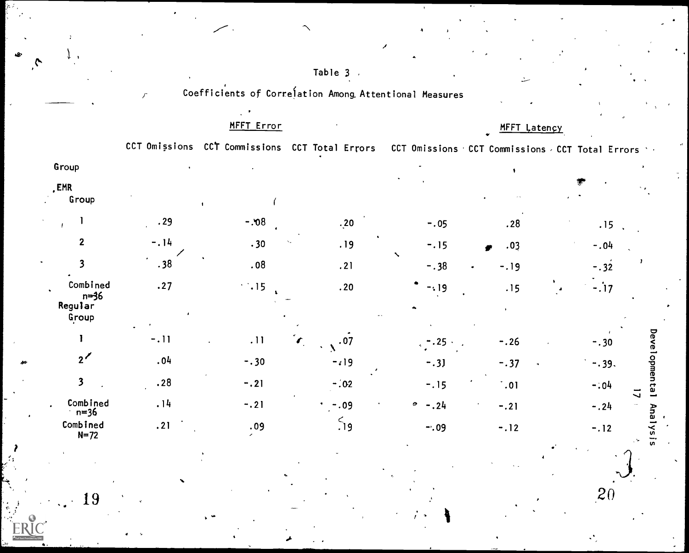|                                                   |       |                          |                                                        |              | سنه         |                                                   |  |  |
|---------------------------------------------------|-------|--------------------------|--------------------------------------------------------|--------------|-------------|---------------------------------------------------|--|--|
|                                                   |       |                          | Coefficients of Correlation Among Attentional Measures |              |             |                                                   |  |  |
|                                                   |       | MFFT Error               |                                                        | MFFT Latency |             |                                                   |  |  |
|                                                   |       |                          | CCT Omissions CCT Commissions CCT Total Errors         |              |             | CCT Omissions CCT Commissions CCT Total Errors 1. |  |  |
| Group                                             |       |                          |                                                        |              |             |                                                   |  |  |
| <b>EMR</b><br>Group                               |       |                          |                                                        |              |             |                                                   |  |  |
|                                                   | .29   | $-0.06$                  | .20                                                    | $-.05$       | .28         | .15                                               |  |  |
| $\mathbf{2}$                                      | $-14$ | .30                      | .19                                                    | $-.15$       | .03         | $-.04$                                            |  |  |
| 3                                                 | .38   | .08                      | .21                                                    | $-.38$       | $-19$       | $-.32$                                            |  |  |
| Combined<br>n <del>=</del> 36<br>Regular<br>Group | .27   | $\ddot{\phantom{0}}$ .15 | .20                                                    | $-19$        | .15         | $-17$                                             |  |  |
|                                                   | $-11$ | .11                      | .07<br>r                                               | .25          | $-.26$      | $-.30$                                            |  |  |
| $2^{\prime}$                                      | .04   | $-0.30$                  | $-19$                                                  | $-.3]$       | $-.37$      | $-0.39.$                                          |  |  |
| $\overline{\mathbf{3}}$                           | .28   | $-.21$                   | $-.02$                                                 | $-.15$       | $\dot{.}01$ | $-.04$                                            |  |  |
| Combined<br>n=36                                  | .14   | $-.21$                   | $-.09$                                                 | $-.24$<br>0  | $-.21$      | $-.24$                                            |  |  |
| Combined<br>$N=72$                                | .21   | .09                      | 59                                                     | $-.09$       | $-.12$      | $-.12$                                            |  |  |

Table  $3$ 

 $\bar{\mathcal{N}}$ 

19

Developmental

**UT** 

 $\overline{20}$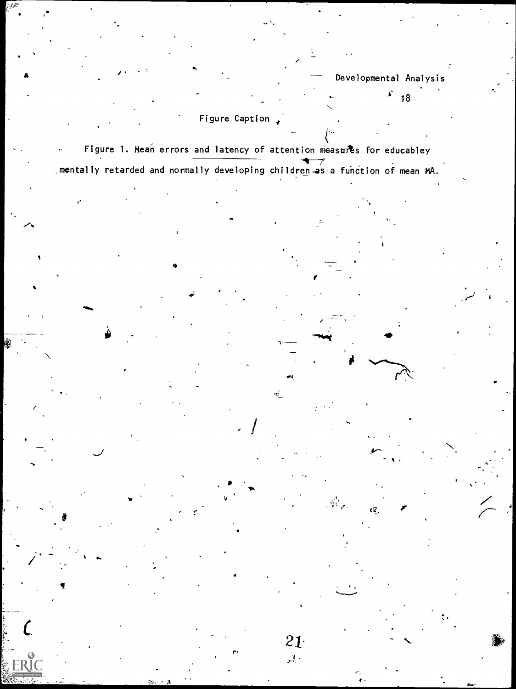Developmental Analysis  $\overrightarrow{F}$  18

# Figure Caption  $\rightarrow$

Figure 1. Mean errors and latency of attention measures for educabley mentally retarded and normally developing children as a function of mean MA.

 $\mathbf{r}$